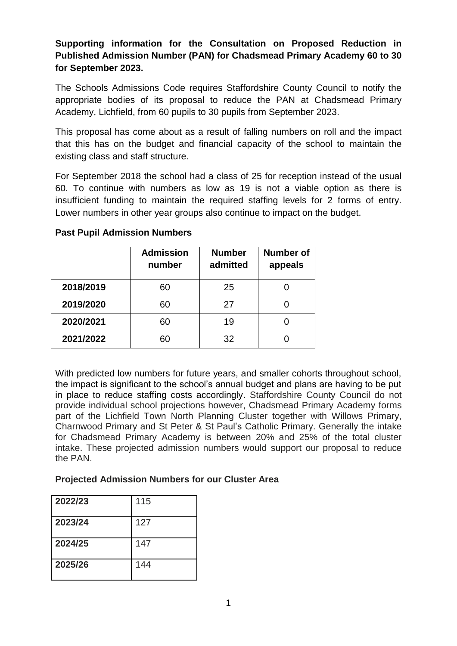## **Supporting information for the Consultation on Proposed Reduction in Published Admission Number (PAN) for Chadsmead Primary Academy 60 to 30 for September 2023.**

The Schools Admissions Code requires Staffordshire County Council to notify the appropriate bodies of its proposal to reduce the PAN at Chadsmead Primary Academy, Lichfield, from 60 pupils to 30 pupils from September 2023.

This proposal has come about as a result of falling numbers on roll and the impact that this has on the budget and financial capacity of the school to maintain the existing class and staff structure.

For September 2018 the school had a class of 25 for reception instead of the usual 60. To continue with numbers as low as 19 is not a viable option as there is insufficient funding to maintain the required staffing levels for 2 forms of entry. Lower numbers in other year groups also continue to impact on the budget.

|           | <b>Admission</b><br>number | <b>Number</b><br>admitted | <b>Number of</b><br>appeals |
|-----------|----------------------------|---------------------------|-----------------------------|
| 2018/2019 | 60                         | 25                        |                             |
| 2019/2020 | 60                         | 27                        |                             |
| 2020/2021 | 60                         | 19                        |                             |
| 2021/2022 | 60                         | 32                        |                             |

**Past Pupil Admission Numbers**

With predicted low numbers for future years, and smaller cohorts throughout school, the impact is significant to the school's annual budget and plans are having to be put in place to reduce staffing costs accordingly. Staffordshire County Council do not provide individual school projections however, Chadsmead Primary Academy forms part of the Lichfield Town North Planning Cluster together with Willows Primary, Charnwood Primary and St Peter & St Paul's Catholic Primary. Generally the intake for Chadsmead Primary Academy is between 20% and 25% of the total cluster intake. These projected admission numbers would support our proposal to reduce the PAN.

## **Projected Admission Numbers for our Cluster Area**

| 2022/23 | 115 |
|---------|-----|
| 2023/24 | 127 |
| 2024/25 | 147 |
| 2025/26 | 144 |